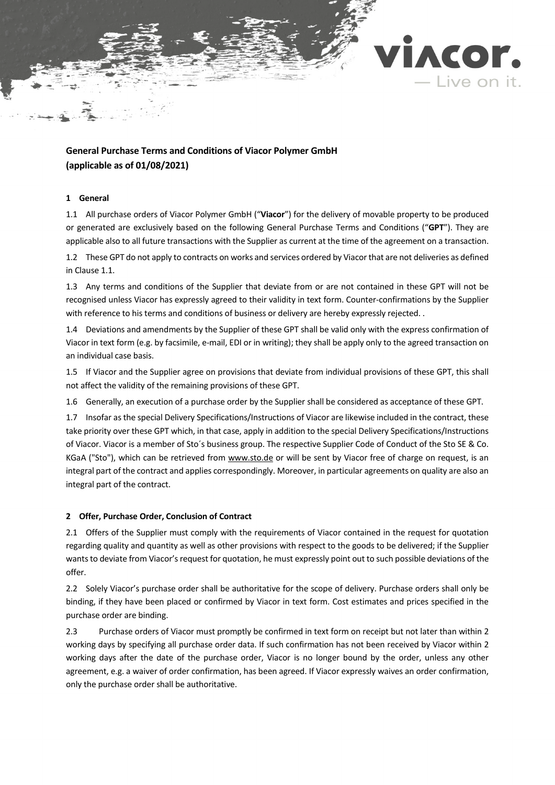

# **General Purchase Terms and Conditions of Viacor Polymer GmbH (applicable as of 01/08/2021)**

# **1 General**

<span id="page-0-0"></span>1.1 All purchase orders of Viacor Polymer GmbH ("**Viacor**") for the delivery of movable property to be produced or generated are exclusively based on the following General Purchase Terms and Conditions ("**GPT**"). They are applicable also to all future transactions with the Supplier as current at the time of the agreement on a transaction.

1.2 These GPT do not apply to contracts on works and services ordered by Viacor that are not deliveries as defined in Claus[e 1.1.](#page-0-0)

1.3 Any terms and conditions of the Supplier that deviate from or are not contained in these GPT will not be recognised unless Viacor has expressly agreed to their validity in text form. Counter-confirmations by the Supplier with reference to his terms and conditions of business or delivery are hereby expressly rejected. .

1.4 Deviations and amendments by the Supplier of these GPT shall be valid only with the express confirmation of Viacor in text form (e.g. by facsimile, e-mail, EDI or in writing); they shall be apply only to the agreed transaction on an individual case basis.

1.5 If Viacor and the Supplier agree on provisions that deviate from individual provisions of these GPT, this shall not affect the validity of the remaining provisions of these GPT.

1.6 Generally, an execution of a purchase order by the Supplier shall be considered as acceptance of these GPT.

1.7 Insofar as the special Delivery Specifications/Instructions of Viacor are likewise included in the contract, these take priority over these GPT which, in that case, apply in addition to the special Delivery Specifications/Instructions of Viacor. Viacor is a member of Sto´s business group. The respective Supplier Code of Conduct of the Sto SE & Co. KGaA ("Sto"), which can be retrieved from www.sto.de or will be sent by Viacor free of charge on request, is an integral part of the contract and applies correspondingly. Moreover, in particular agreements on quality are also an integral part of the contract.

# **2 Offer, Purchase Order, Conclusion of Contract**

2.1 Offers of the Supplier must comply with the requirements of Viacor contained in the request for quotation regarding quality and quantity as well as other provisions with respect to the goods to be delivered; if the Supplier wants to deviate from Viacor's request for quotation, he must expressly point out to such possible deviations of the offer.

2.2 Solely Viacor's purchase order shall be authoritative for the scope of delivery. Purchase orders shall only be binding, if they have been placed or confirmed by Viacor in text form. Cost estimates and prices specified in the purchase order are binding.

2.3 Purchase orders of Viacor must promptly be confirmed in text form on receipt but not later than within 2 working days by specifying all purchase order data. If such confirmation has not been received by Viacor within 2 working days after the date of the purchase order, Viacor is no longer bound by the order, unless any other agreement, e.g. a waiver of order confirmation, has been agreed. If Viacor expressly waives an order confirmation, only the purchase order shall be authoritative.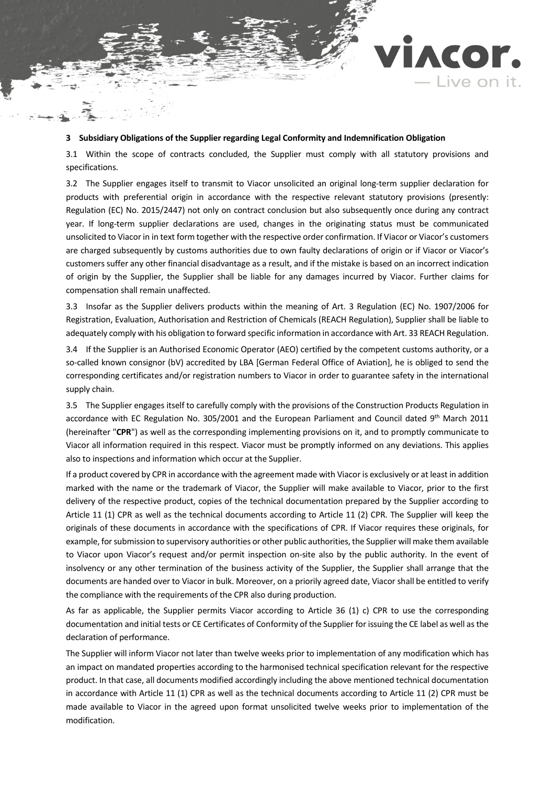# **3 Subsidiary Obligations of the Supplier regarding Legal Conformity and Indemnification Obligation**

3.1 Within the scope of contracts concluded, the Supplier must comply with all statutory provisions and specifications.

ACOr.

- Live on it.

3.2 The Supplier engages itself to transmit to Viacor unsolicited an original long-term supplier declaration for products with preferential origin in accordance with the respective relevant statutory provisions (presently: Regulation (EC) No. 2015/2447) not only on contract conclusion but also subsequently once during any contract year. If long-term supplier declarations are used, changes in the originating status must be communicated unsolicited to Viacor in in text form together with the respective order confirmation. If Viacor or Viacor's customers are charged subsequently by customs authorities due to own faulty declarations of origin or if Viacor or Viacor's customers suffer any other financial disadvantage as a result, and if the mistake is based on an incorrect indication of origin by the Supplier, the Supplier shall be liable for any damages incurred by Viacor. Further claims for compensation shall remain unaffected.

3.3 Insofar as the Supplier delivers products within the meaning of Art. 3 Regulation (EC) No. 1907/2006 for Registration, Evaluation, Authorisation and Restriction of Chemicals (REACH Regulation), Supplier shall be liable to adequately comply with his obligation to forward specific information in accordance with Art. 33 REACH Regulation.

3.4 If the Supplier is an Authorised Economic Operator (AEO) certified by the competent customs authority, or a so-called known consignor (bV) accredited by LBA [German Federal Office of Aviation], he is obliged to send the corresponding certificates and/or registration numbers to Viacor in order to guarantee safety in the international supply chain.

<span id="page-1-0"></span>3.5 The Supplier engages itself to carefully comply with the provisions of the Construction Products Regulation in accordance with EC Regulation No. 305/2001 and the European Parliament and Council dated 9th March 2011 (hereinafter "**CPR**") as well as the corresponding implementing provisions on it, and to promptly communicate to Viacor all information required in this respect. Viacor must be promptly informed on any deviations. This applies also to inspections and information which occur at the Supplier.

If a product covered by CPR in accordance with the agreement made with Viacor is exclusively or at least in addition marked with the name or the trademark of Viacor, the Supplier will make available to Viacor, prior to the first delivery of the respective product, copies of the technical documentation prepared by the Supplier according to Article 11 (1) CPR as well as the technical documents according to Article 11 (2) CPR. The Supplier will keep the originals of these documents in accordance with the specifications of CPR. If Viacor requires these originals, for example, for submission to supervisory authorities or other public authorities, the Supplier will make them available to Viacor upon Viacor's request and/or permit inspection on-site also by the public authority. In the event of insolvency or any other termination of the business activity of the Supplier, the Supplier shall arrange that the documents are handed over to Viacor in bulk. Moreover, on a priorily agreed date, Viacor shall be entitled to verify the compliance with the requirements of the CPR also during production.

As far as applicable, the Supplier permits Viacor according to Article 36 (1) c) CPR to use the corresponding documentation and initial tests or CE Certificates of Conformity of the Supplier for issuing the CE label as well as the declaration of performance.

The Supplier will inform Viacor not later than twelve weeks prior to implementation of any modification which has an impact on mandated properties according to the harmonised technical specification relevant for the respective product. In that case, all documents modified accordingly including the above mentioned technical documentation in accordance with Article 11 (1) CPR as well as the technical documents according to Article 11 (2) CPR must be made available to Viacor in the agreed upon format unsolicited twelve weeks prior to implementation of the modification.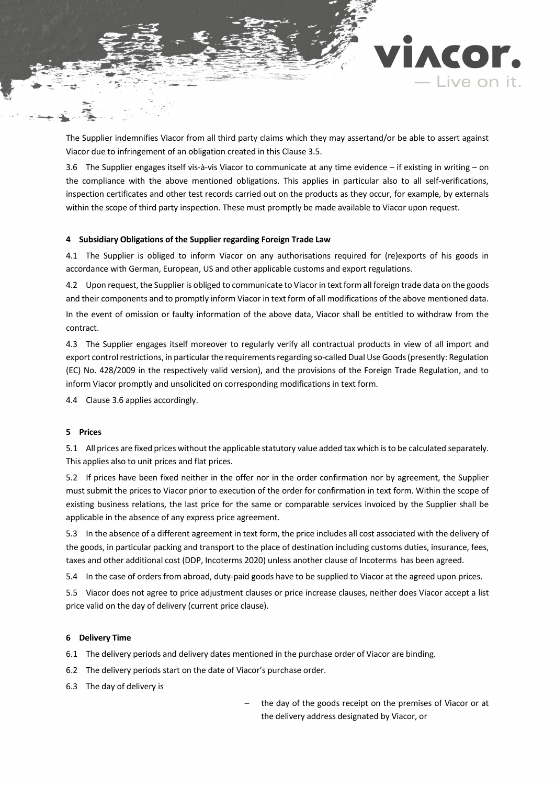

ACOr.

- Live on it.

<span id="page-2-0"></span>3.6 The Supplier engages itself vis-à-vis Viacor to communicate at any time evidence – if existing in writing – on the compliance with the above mentioned obligations. This applies in particular also to all self-verifications, inspection certificates and other test records carried out on the products as they occur, for example, by externals within the scope of third party inspection. These must promptly be made available to Viacor upon request.

### **4 Subsidiary Obligations of the Supplier regarding Foreign Trade Law**

4.1 The Supplier is obliged to inform Viacor on any authorisations required for (re)exports of his goods in accordance with German, European, US and other applicable customs and export regulations.

4.2 Upon request, the Supplieris obliged to communicate to Viacorin text form all foreign trade data on the goods and their components and to promptly inform Viacor in text form of all modifications of the above mentioned data. In the event of omission or faulty information of the above data, Viacor shall be entitled to withdraw from the contract.

4.3 The Supplier engages itself moreover to regularly verify all contractual products in view of all import and export control restrictions, in particular the requirements regarding so-called Dual Use Goods (presently: Regulation (EC) No. 428/2009 in the respectively valid version), and the provisions of the Foreign Trade Regulation, and to inform Viacor promptly and unsolicited on corresponding modifications in text form.

4.4 Claus[e 3.6](#page-2-0) applies accordingly.

# **5 Prices**

5.1 All prices are fixed prices without the applicable statutory value added tax which is to be calculated separately. This applies also to unit prices and flat prices.

5.2 If prices have been fixed neither in the offer nor in the order confirmation nor by agreement, the Supplier must submit the prices to Viacor prior to execution of the order for confirmation in text form. Within the scope of existing business relations, the last price for the same or comparable services invoiced by the Supplier shall be applicable in the absence of any express price agreement.

5.3 In the absence of a different agreement in text form, the price includes all cost associated with the delivery of the goods, in particular packing and transport to the place of destination including customs duties, insurance, fees, taxes and other additional cost (DDP, Incoterms 2020) unless another clause of Incoterms has been agreed.

5.4 In the case of orders from abroad, duty-paid goods have to be supplied to Viacor at the agreed upon prices.

5.5 Viacor does not agree to price adjustment clauses or price increase clauses, neither does Viacor accept a list price valid on the day of delivery (current price clause).

#### **6 Delivery Time**

6.1 The delivery periods and delivery dates mentioned in the purchase order of Viacor are binding.

- 6.2 The delivery periods start on the date of Viacor's purchase order.
- 6.3 The day of delivery is

the day of the goods receipt on the premises of Viacor or at the delivery address designated by Viacor, or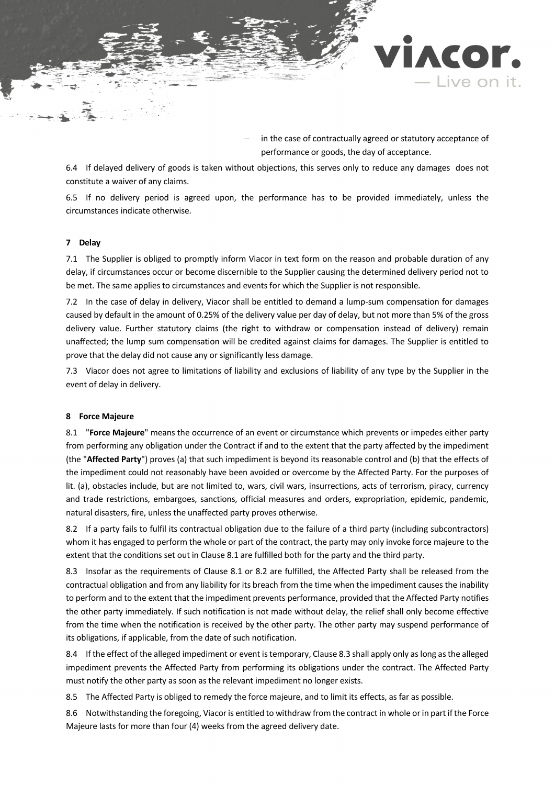

in the case of contractually agreed or statutory acceptance of performance or goods, the day of acceptance.

6.4 If delayed delivery of goods is taken without objections, this serves only to reduce any damages does not constitute a waiver of any claims.

6.5 If no delivery period is agreed upon, the performance has to be provided immediately, unless the circumstances indicate otherwise.

#### **7 Delay**

7.1 The Supplier is obliged to promptly inform Viacor in text form on the reason and probable duration of any delay, if circumstances occur or become discernible to the Supplier causing the determined delivery period not to be met. The same applies to circumstances and events for which the Supplier is not responsible.

7.2 In the case of delay in delivery, Viacor shall be entitled to demand a lump-sum compensation for damages caused by default in the amount of 0.25% of the delivery value per day of delay, but not more than 5% of the gross delivery value. Further statutory claims (the right to withdraw or compensation instead of delivery) remain unaffected; the lump sum compensation will be credited against claims for damages. The Supplier is entitled to prove that the delay did not cause any or significantly less damage.

7.3 Viacor does not agree to limitations of liability and exclusions of liability of any type by the Supplier in the event of delay in delivery.

#### **8 Force Majeure**

<span id="page-3-0"></span>8.1 "**Force Majeure**" means the occurrence of an event or circumstance which prevents or impedes either party from performing any obligation under the Contract if and to the extent that the party affected by the impediment (the "**Affected Party**") proves (a) that such impediment is beyond its reasonable control and (b) that the effects of the impediment could not reasonably have been avoided or overcome by the Affected Party. For the purposes of lit. (a), obstacles include, but are not limited to, wars, civil wars, insurrections, acts of terrorism, piracy, currency and trade restrictions, embargoes, sanctions, official measures and orders, expropriation, epidemic, pandemic, natural disasters, fire, unless the unaffected party proves otherwise.

<span id="page-3-1"></span>8.2 If a party fails to fulfil its contractual obligation due to the failure of a third party (including subcontractors) whom it has engaged to perform the whole or part of the contract, the party may only invoke force majeure to the extent that the conditions set out in Claus[e 8.1](#page-3-0) are fulfilled both for the party and the third party.

<span id="page-3-2"></span>8.3 Insofar as the requirements of Clause [8.1](#page-3-0) or [8.2](#page-3-1) are fulfilled, the Affected Party shall be released from the contractual obligation and from any liability for its breach from the time when the impediment causes the inability to perform and to the extent that the impediment prevents performance, provided that the Affected Party notifies the other party immediately. If such notification is not made without delay, the relief shall only become effective from the time when the notification is received by the other party. The other party may suspend performance of its obligations, if applicable, from the date of such notification.

8.4 If the effect of the alleged impediment or event is temporary, Clause [8.3](#page-3-2) shall apply only as long as the alleged impediment prevents the Affected Party from performing its obligations under the contract. The Affected Party must notify the other party as soon as the relevant impediment no longer exists.

8.5 The Affected Party is obliged to remedy the force majeure, and to limit its effects, as far as possible.

8.6 Notwithstanding the foregoing, Viacor is entitled to withdraw from the contract in whole or in part if the Force Majeure lasts for more than four (4) weeks from the agreed delivery date.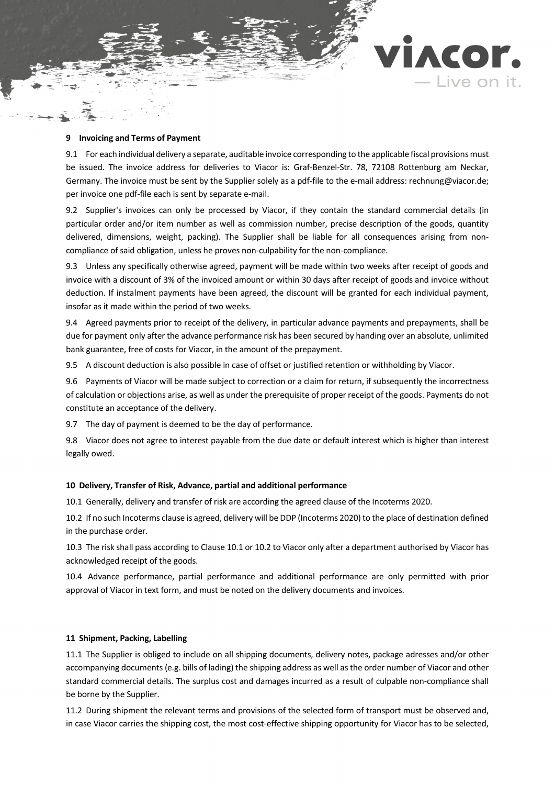### **9 Invoicing and Terms of Payment**

9.1 For each individual delivery a separate, auditable invoice corresponding to the applicable fiscal provisions must be issued. The invoice address for deliveries to Viacor is: Graf-Benzel-Str. 78, 72108 Rottenburg am Neckar, Germany. The invoice must be sent by the Supplier solely as a pdf-file to the e-mail address: rechnung@viacor.de; per invoice one pdf-file each is sent by separate e-mail.

ACOr.

- Live on it.

9.2 Supplier's invoices can only be processed by Viacor, if they contain the standard commercial details (in particular order and/or item number as well as commission number, precise description of the goods, quantity delivered, dimensions, weight, packing). The Supplier shall be liable for all consequences arising from noncompliance of said obligation, unless he proves non-culpability for the non-compliance.

9.3 Unless any specifically otherwise agreed, payment will be made within two weeks after receipt of goods and invoice with a discount of 3% of the invoiced amount or within 30 days after receipt of goods and invoice without deduction. If instalment payments have been agreed, the discount will be granted for each individual payment, insofar as it made within the period of two weeks.

9.4 Agreed payments prior to receipt of the delivery, in particular advance payments and prepayments, shall be due for payment only after the advance performance risk has been secured by handing over an absolute, unlimited bank guarantee, free of costs for Viacor, in the amount of the prepayment.

9.5 A discount deduction is also possible in case of offset or justified retention or withholding by Viacor.

9.6 Payments of Viacor will be made subject to correction or a claim for return, if subsequently the incorrectness of calculation or objections arise, as well as under the prerequisite of proper receipt of the goods. Payments do not constitute an acceptance of the delivery.

9.7 The day of payment is deemed to be the day of performance.

9.8 Viacor does not agree to interest payable from the due date or default interest which is higher than interest legally owed.

#### **10 Delivery, Transfer of Risk, Advance, partial and additional performance**

<span id="page-4-0"></span>10.1 Generally, delivery and transfer of risk are according the agreed clause of the Incoterms 2020.

<span id="page-4-1"></span>10.2 If no such Incoterms clause is agreed, delivery will be DDP (Incoterms 2020) to the place of destination defined in the purchase order.

10.3 The risk shall pass according to Claus[e 10.1](#page-4-0) o[r 10.2](#page-4-1) to Viacor only after a department authorised by Viacor has acknowledged receipt of the goods.

10.4 Advance performance, partial performance and additional performance are only permitted with prior approval of Viacor in text form, and must be noted on the delivery documents and invoices.

#### **11 Shipment, Packing, Labelling**

11.1 The Supplier is obliged to include on all shipping documents, delivery notes, package adresses and/or other accompanying documents (e.g. bills of lading) the shipping address as well as the order number of Viacor and other standard commercial details. The surplus cost and damages incurred as a result of culpable non-compliance shall be borne by the Supplier.

11.2 During shipment the relevant terms and provisions of the selected form of transport must be observed and, in case Viacor carries the shipping cost, the most cost-effective shipping opportunity for Viacor has to be selected,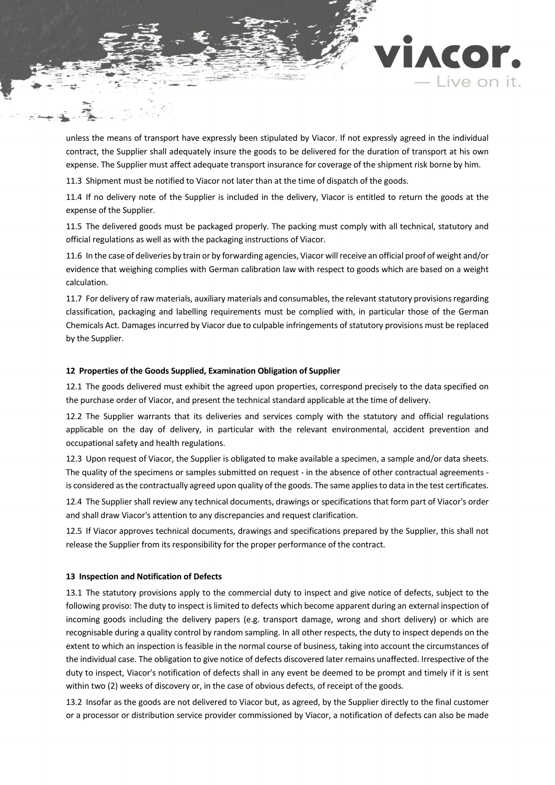

unless the means of transport have expressly been stipulated by Viacor. If not expressly agreed in the individual contract, the Supplier shall adequately insure the goods to be delivered for the duration of transport at his own expense. The Supplier must affect adequate transport insurance for coverage of the shipment risk borne by him.

11.3 Shipment must be notified to Viacor not later than at the time of dispatch of the goods.

11.4 If no delivery note of the Supplier is included in the delivery, Viacor is entitled to return the goods at the expense of the Supplier.

11.5 The delivered goods must be packaged properly. The packing must comply with all technical, statutory and official regulations as well as with the packaging instructions of Viacor.

11.6 In the case of deliveries by train or by forwarding agencies, Viacor will receive an official proof of weight and/or evidence that weighing complies with German calibration law with respect to goods which are based on a weight calculation.

11.7 For delivery of raw materials, auxiliary materials and consumables, the relevant statutory provisions regarding classification, packaging and labelling requirements must be complied with, in particular those of the German Chemicals Act. Damages incurred by Viacor due to culpable infringements of statutory provisions must be replaced by the Supplier.

### **12 Properties of the Goods Supplied, Examination Obligation of Supplier**

12.1 The goods delivered must exhibit the agreed upon properties, correspond precisely to the data specified on the purchase order of Viacor, and present the technical standard applicable at the time of delivery.

12.2 The Supplier warrants that its deliveries and services comply with the statutory and official regulations applicable on the day of delivery, in particular with the relevant environmental, accident prevention and occupational safety and health regulations.

12.3 Upon request of Viacor, the Supplier is obligated to make available a specimen, a sample and/or data sheets. The quality of the specimens or samples submitted on request - in the absence of other contractual agreements is considered as the contractually agreed upon quality of the goods. The same applies to data in the test certificates.

12.4 The Supplier shall review any technical documents, drawings or specifications that form part of Viacor's order and shall draw Viacor's attention to any discrepancies and request clarification.

12.5 If Viacor approves technical documents, drawings and specifications prepared by the Supplier, this shall not release the Supplier from its responsibility for the proper performance of the contract.

#### **13 Inspection and Notification of Defects**

<span id="page-5-0"></span>13.1 The statutory provisions apply to the commercial duty to inspect and give notice of defects, subject to the following proviso: The duty to inspect is limited to defects which become apparent during an external inspection of incoming goods including the delivery papers (e.g. transport damage, wrong and short delivery) or which are recognisable during a quality control by random sampling. In all other respects, the duty to inspect depends on the extent to which an inspection is feasible in the normal course of business, taking into account the circumstances of the individual case. The obligation to give notice of defects discovered later remains unaffected. Irrespective of the duty to inspect, Viacor's notification of defects shall in any event be deemed to be prompt and timely if it is sent within two (2) weeks of discovery or, in the case of obvious defects, of receipt of the goods.

13.2 Insofar as the goods are not delivered to Viacor but, as agreed, by the Supplier directly to the final customer or a processor or distribution service provider commissioned by Viacor, a notification of defects can also be made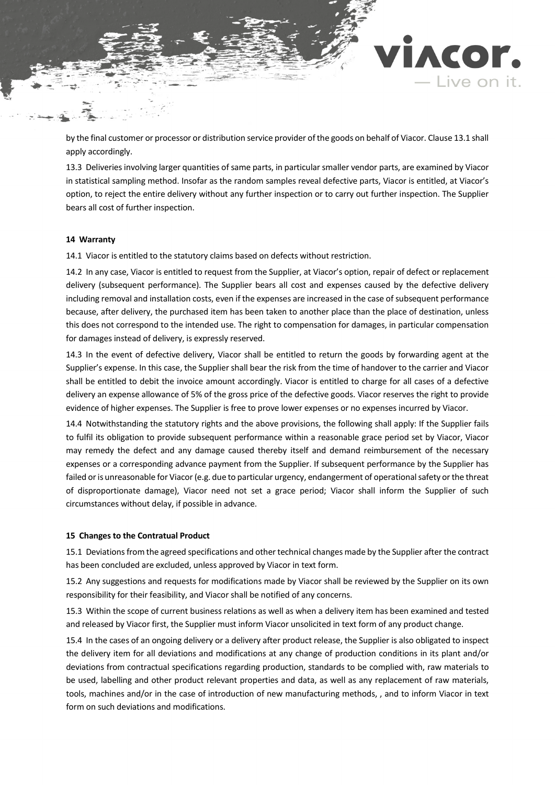by the final customer or processor or distribution service provider of the goods on behalf of Viacor. Claus[e 13.1](#page-5-0) shall apply accordingly.

ACOr.

Live on it.

13.3 Deliveries involving larger quantities of same parts, in particular smaller vendor parts, are examined by Viacor in statistical sampling method. Insofar as the random samples reveal defective parts, Viacor is entitled, at Viacor's option, to reject the entire delivery without any further inspection or to carry out further inspection. The Supplier bears all cost of further inspection.

#### **14 Warranty**

14.1 Viacor is entitled to the statutory claims based on defects without restriction.

14.2 In any case, Viacor is entitled to request from the Supplier, at Viacor's option, repair of defect or replacement delivery (subsequent performance). The Supplier bears all cost and expenses caused by the defective delivery including removal and installation costs, even if the expenses are increased in the case of subsequent performance because, after delivery, the purchased item has been taken to another place than the place of destination, unless this does not correspond to the intended use. The right to compensation for damages, in particular compensation for damages instead of delivery, is expressly reserved.

14.3 In the event of defective delivery, Viacor shall be entitled to return the goods by forwarding agent at the Supplier's expense. In this case, the Supplier shall bear the risk from the time of handover to the carrier and Viacor shall be entitled to debit the invoice amount accordingly. Viacor is entitled to charge for all cases of a defective delivery an expense allowance of 5% of the gross price of the defective goods. Viacor reserves the right to provide evidence of higher expenses. The Supplier is free to prove lower expenses or no expenses incurred by Viacor.

14.4 Notwithstanding the statutory rights and the above provisions, the following shall apply: If the Supplier fails to fulfil its obligation to provide subsequent performance within a reasonable grace period set by Viacor, Viacor may remedy the defect and any damage caused thereby itself and demand reimbursement of the necessary expenses or a corresponding advance payment from the Supplier. If subsequent performance by the Supplier has failed or is unreasonable for Viacor (e.g. due to particular urgency, endangerment of operational safety or the threat of disproportionate damage), Viacor need not set a grace period; Viacor shall inform the Supplier of such circumstances without delay, if possible in advance.

#### **15 Changes to the Contratual Product**

15.1 Deviations from the agreed specifications and other technical changes made by the Supplier after the contract has been concluded are excluded, unless approved by Viacor in text form.

15.2 Any suggestions and requests for modifications made by Viacor shall be reviewed by the Supplier on its own responsibility for their feasibility, and Viacor shall be notified of any concerns.

15.3 Within the scope of current business relations as well as when a delivery item has been examined and tested and released by Viacor first, the Supplier must inform Viacor unsolicited in text form of any product change.

15.4 In the cases of an ongoing delivery or a delivery after product release, the Supplier is also obligated to inspect the delivery item for all deviations and modifications at any change of production conditions in its plant and/or deviations from contractual specifications regarding production, standards to be complied with, raw materials to be used, labelling and other product relevant properties and data, as well as any replacement of raw materials, tools, machines and/or in the case of introduction of new manufacturing methods, , and to inform Viacor in text form on such deviations and modifications.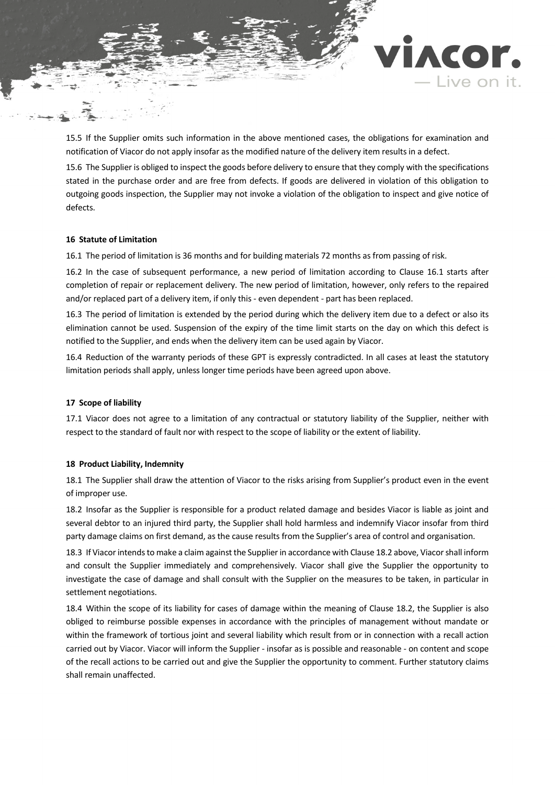

ACOr.

· Live on it.

15.6 The Supplier is obliged to inspect the goods before delivery to ensure that they comply with the specifications stated in the purchase order and are free from defects. If goods are delivered in violation of this obligation to outgoing goods inspection, the Supplier may not invoke a violation of the obligation to inspect and give notice of defects.

### **16 Statute of Limitation**

<span id="page-7-0"></span>16.1 The period of limitation is 36 months and for building materials 72 months as from passing of risk.

16.2 In the case of subsequent performance, a new period of limitation according to Clause [16.1](#page-7-0) starts after completion of repair or replacement delivery. The new period of limitation, however, only refers to the repaired and/or replaced part of a delivery item, if only this - even dependent - part has been replaced.

16.3 The period of limitation is extended by the period during which the delivery item due to a defect or also its elimination cannot be used. Suspension of the expiry of the time limit starts on the day on which this defect is notified to the Supplier, and ends when the delivery item can be used again by Viacor.

16.4 Reduction of the warranty periods of these GPT is expressly contradicted. In all cases at least the statutory limitation periods shall apply, unless longer time periods have been agreed upon above.

#### **17 Scope of liability**

17.1 Viacor does not agree to a limitation of any contractual or statutory liability of the Supplier, neither with respect to the standard of fault nor with respect to the scope of liability or the extent of liability.

### **18 Product Liability, Indemnity**

18.1 The Supplier shall draw the attention of Viacor to the risks arising from Supplier's product even in the event of improper use.

<span id="page-7-1"></span>18.2 Insofar as the Supplier is responsible for a product related damage and besides Viacor is liable as joint and several debtor to an injured third party, the Supplier shall hold harmless and indemnify Viacor insofar from third party damage claims on first demand, as the cause results from the Supplier's area of control and organisation.

18.3 If Viacor intends to make a claim against the Supplier in accordance with Claus[e 18.2](#page-7-1) above, Viacor shall inform and consult the Supplier immediately and comprehensively. Viacor shall give the Supplier the opportunity to investigate the case of damage and shall consult with the Supplier on the measures to be taken, in particular in settlement negotiations.

18.4 Within the scope of its liability for cases of damage within the meaning of Clause [18.2,](#page-7-1) the Supplier is also obliged to reimburse possible expenses in accordance with the principles of management without mandate or within the framework of tortious joint and several liability which result from or in connection with a recall action carried out by Viacor. Viacor will inform the Supplier - insofar as is possible and reasonable - on content and scope of the recall actions to be carried out and give the Supplier the opportunity to comment. Further statutory claims shall remain unaffected.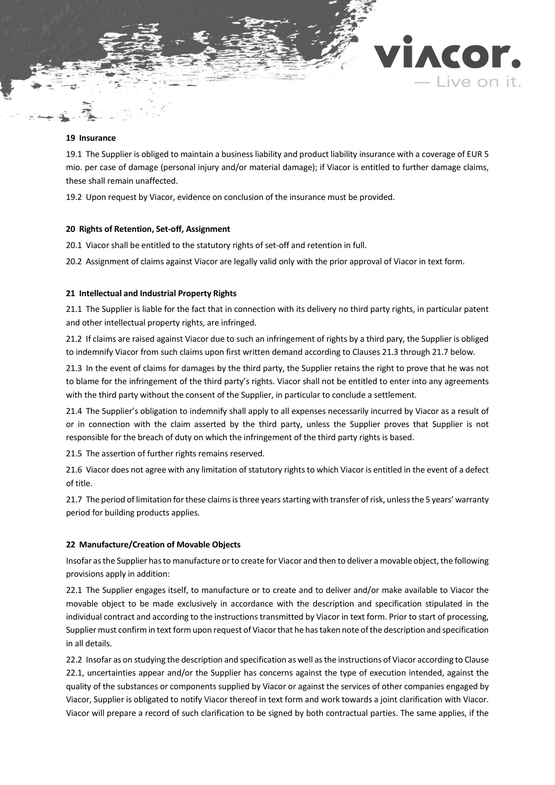#### **19 Insurance**

19.1 The Supplier is obliged to maintain a business liability and product liability insurance with a coverage of EUR 5 mio. per case of damage (personal injury and/or material damage); if Viacor is entitled to further damage claims, these shall remain unaffected.

ACOr.

Live on it.

19.2 Upon request by Viacor, evidence on conclusion of the insurance must be provided.

# **20 Rights of Retention, Set-off, Assignment**

20.1 Viacor shall be entitled to the statutory rights of set-off and retention in full.

20.2 Assignment of claims against Viacor are legally valid only with the prior approval of Viacor in text form.

# **21 Intellectual and Industrial Property Rights**

21.1 The Supplier is liable for the fact that in connection with its delivery no third party rights, in particular patent and other intellectual property rights, are infringed.

21.2 If claims are raised against Viacor due to such an infringement of rights by a third pary, the Supplier is obliged to indemnify Viacor from such claims upon first written demand according to Clause[s 21.3](#page-8-0) throug[h 21.7](#page-8-1) below.

<span id="page-8-0"></span>21.3 In the event of claims for damages by the third party, the Supplier retains the right to prove that he was not to blame for the infringement of the third party's rights. Viacor shall not be entitled to enter into any agreements with the third party without the consent of the Supplier, in particular to conclude a settlement.

21.4 The Supplier's obligation to indemnify shall apply to all expenses necessarily incurred by Viacor as a result of or in connection with the claim asserted by the third party, unless the Supplier proves that Supplier is not responsible for the breach of duty on which the infringement of the third party rights is based.

21.5 The assertion of further rights remains reserved.

21.6 Viacor does not agree with any limitation of statutory rights to which Viacor is entitled in the event of a defect of title.

<span id="page-8-1"></span>21.7 The period of limitation for these claims is three years starting with transfer of risk, unless the 5 years' warranty period for building products applies.

# **22 Manufacture/Creation of Movable Objects**

Insofar as the Supplier has to manufacture or to create for Viacor and then to deliver a movable object, the following provisions apply in addition:

<span id="page-8-2"></span>22.1 The Supplier engages itself, to manufacture or to create and to deliver and/or make available to Viacor the movable object to be made exclusively in accordance with the description and specification stipulated in the individual contract and according to the instructions transmitted by Viacor in text form. Prior to start of processing, Supplier must confirm in text form upon request of Viacor that he has taken note of the description and specification in all details.

22.2 Insofar as on studying the description and specification as well as the instructions of Viacor according to Clause [22.1,](#page-8-2) uncertainties appear and/or the Supplier has concerns against the type of execution intended, against the quality of the substances or components supplied by Viacor or against the services of other companies engaged by Viacor, Supplier is obligated to notify Viacor thereof in text form and work towards a joint clarification with Viacor. Viacor will prepare a record of such clarification to be signed by both contractual parties. The same applies, if the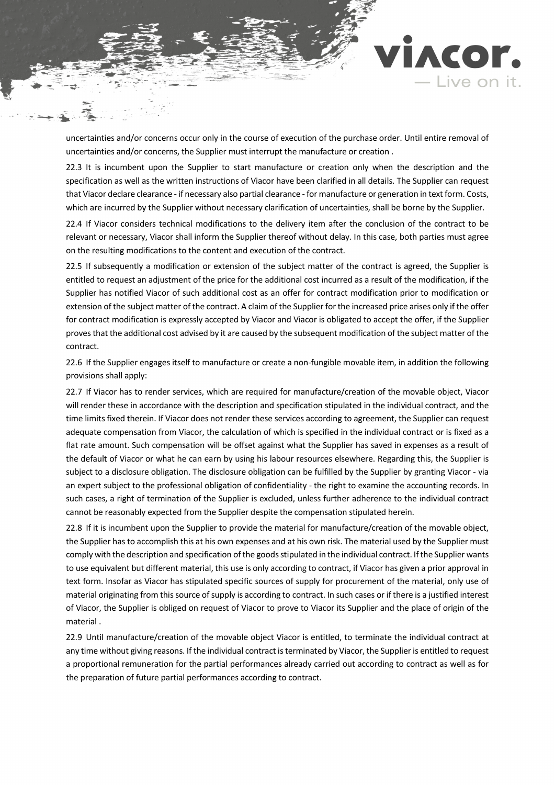

IACOF.

- Live on it.

22.3 It is incumbent upon the Supplier to start manufacture or creation only when the description and the specification as well as the written instructions of Viacor have been clarified in all details. The Supplier can request that Viacor declare clearance - if necessary also partial clearance - for manufacture or generation in text form. Costs, which are incurred by the Supplier without necessary clarification of uncertainties, shall be borne by the Supplier.

22.4 If Viacor considers technical modifications to the delivery item after the conclusion of the contract to be relevant or necessary, Viacor shall inform the Supplier thereof without delay. In this case, both parties must agree on the resulting modifications to the content and execution of the contract.

22.5 If subsequently a modification or extension of the subject matter of the contract is agreed, the Supplier is entitled to request an adjustment of the price for the additional cost incurred as a result of the modification, if the Supplier has notified Viacor of such additional cost as an offer for contract modification prior to modification or extension of the subject matter of the contract. A claim of the Supplier for the increased price arises only if the offer for contract modification is expressly accepted by Viacor and Viacor is obligated to accept the offer, if the Supplier proves that the additional cost advised by it are caused by the subsequent modification of the subject matter of the contract.

22.6 If the Supplier engages itself to manufacture or create a non-fungible movable item, in addition the following provisions shall apply:

22.7 If Viacor has to render services, which are required for manufacture/creation of the movable object, Viacor will render these in accordance with the description and specification stipulated in the individual contract, and the time limits fixed therein. If Viacor does not render these services according to agreement, the Supplier can request adequate compensation from Viacor, the calculation of which is specified in the individual contract or is fixed as a flat rate amount. Such compensation will be offset against what the Supplier has saved in expenses as a result of the default of Viacor or what he can earn by using his labour resources elsewhere. Regarding this, the Supplier is subject to a disclosure obligation. The disclosure obligation can be fulfilled by the Supplier by granting Viacor - via an expert subject to the professional obligation of confidentiality - the right to examine the accounting records. In such cases, a right of termination of the Supplier is excluded, unless further adherence to the individual contract cannot be reasonably expected from the Supplier despite the compensation stipulated herein.

22.8 If it is incumbent upon the Supplier to provide the material for manufacture/creation of the movable object, the Supplier has to accomplish this at his own expenses and at his own risk. The material used by the Supplier must comply with the description and specification of the goods stipulated in the individual contract. If the Supplier wants to use equivalent but different material, this use is only according to contract, if Viacor has given a prior approval in text form. Insofar as Viacor has stipulated specific sources of supply for procurement of the material, only use of material originating from this source of supply is according to contract. In such cases or if there is a justified interest of Viacor, the Supplier is obliged on request of Viacor to prove to Viacor its Supplier and the place of origin of the material .

22.9 Until manufacture/creation of the movable object Viacor is entitled, to terminate the individual contract at any time without giving reasons. If the individual contract is terminated by Viacor, the Supplier is entitled to request a proportional remuneration for the partial performances already carried out according to contract as well as for the preparation of future partial performances according to contract.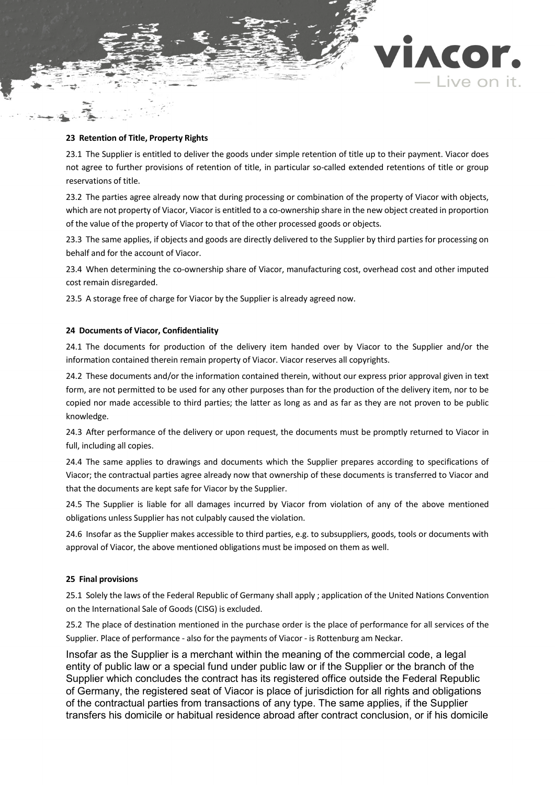

### **23 Retention of Title, Property Rights**

23.1 The Supplier is entitled to deliver the goods under simple retention of title up to their payment. Viacor does not agree to further provisions of retention of title, in particular so-called extended retentions of title or group reservations of title.

23.2 The parties agree already now that during processing or combination of the property of Viacor with objects, which are not property of Viacor, Viacor is entitled to a co-ownership share in the new object created in proportion of the value of the property of Viacor to that of the other processed goods or objects.

23.3 The same applies, if objects and goods are directly delivered to the Supplier by third parties for processing on behalf and for the account of Viacor.

23.4 When determining the co-ownership share of Viacor, manufacturing cost, overhead cost and other imputed cost remain disregarded.

23.5 A storage free of charge for Viacor by the Supplier is already agreed now.

### **24 Documents of Viacor, Confidentiality**

24.1 The documents for production of the delivery item handed over by Viacor to the Supplier and/or the information contained therein remain property of Viacor. Viacor reserves all copyrights.

24.2 These documents and/or the information contained therein, without our express prior approval given in text form, are not permitted to be used for any other purposes than for the production of the delivery item, nor to be copied nor made accessible to third parties; the latter as long as and as far as they are not proven to be public knowledge.

24.3 After performance of the delivery or upon request, the documents must be promptly returned to Viacor in full, including all copies.

24.4 The same applies to drawings and documents which the Supplier prepares according to specifications of Viacor; the contractual parties agree already now that ownership of these documents is transferred to Viacor and that the documents are kept safe for Viacor by the Supplier.

24.5 The Supplier is liable for all damages incurred by Viacor from violation of any of the above mentioned obligations unless Supplier has not culpably caused the violation.

24.6 Insofar as the Supplier makes accessible to third parties, e.g. to subsuppliers, goods, tools or documents with approval of Viacor, the above mentioned obligations must be imposed on them as well.

#### **25 Final provisions**

25.1 Solely the laws of the Federal Republic of Germany shall apply ; application of the United Nations Convention on the International Sale of Goods (CISG) is excluded.

25.2 The place of destination mentioned in the purchase order is the place of performance for all services of the Supplier. Place of performance - also for the payments of Viacor - is Rottenburg am Neckar.

Insofar as the Supplier is a merchant within the meaning of the commercial code, a legal entity of public law or a special fund under public law or if the Supplier or the branch of the Supplier which concludes the contract has its registered office outside the Federal Republic of Germany, the registered seat of Viacor is place of jurisdiction for all rights and obligations of the contractual parties from transactions of any type. The same applies, if the Supplier transfers his domicile or habitual residence abroad after contract conclusion, or if his domicile